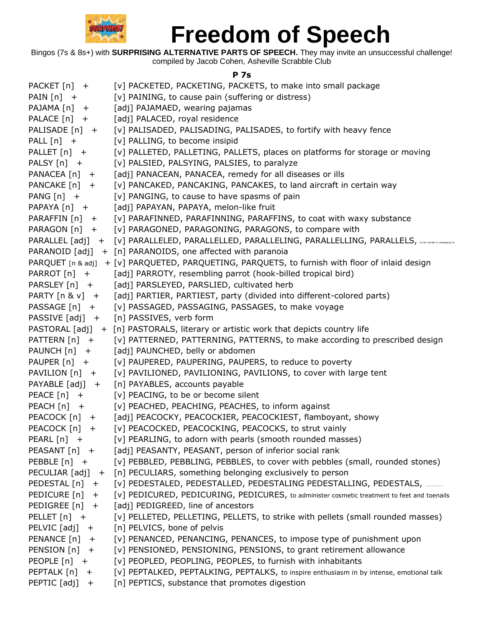

Bingos (7s & 8s+) with **SURPRISING ALTERNATIVE PARTS OF SPEECH.** They may invite an unsuccessful challenge! compiled by Jacob Cohen, Asheville Scrabble Club

#### **P 7s**

| PACKET [n] +             | [v] PACKETED, PACKETING, PACKETS, to make into small package                                                   |
|--------------------------|----------------------------------------------------------------------------------------------------------------|
| PAIN $[n]$ +             | [v] PAINING, to cause pain (suffering or distress)                                                             |
| $PAJAMA[n] +$            | [adj] PAJAMAED, wearing pajamas                                                                                |
| PALACE [n] +             | [adj] PALACED, royal residence                                                                                 |
| PALISADE [n] +           | [v] PALISADED, PALISADING, PALISADES, to fortify with heavy fence                                              |
| PALL $[n]$ +             | [v] PALLING, to become insipid                                                                                 |
| PALLET [n] +             | [v] PALLETED, PALLETING, PALLETS, places on platforms for storage or moving                                    |
| PALSY [n] +              | [v] PALSIED, PALSYING, PALSIES, to paralyze                                                                    |
| $PANACEA [n] +$          | [adj] PANACEAN, PANACEA, remedy for all diseases or ills                                                       |
| PANCAKE $[n]$ +          | [v] PANCAKED, PANCAKING, PANCAKES, to land aircraft in certain way                                             |
| PANG $[n]$ +             | [v] PANGING, to cause to have spasms of pain                                                                   |
| PAPAYA [n] +             | [adj] PAPAYAN, PAPAYA, melon-like fruit                                                                        |
| PARAFFIN [n] +           | [v] PARAFINNED, PARAFINNING, PARAFFINS, to coat with waxy substance                                            |
| PARAGON [n] +            | [v] PARAGONED, PARAGONING, PARAGONS, to compare with                                                           |
|                          | PARALLEL [adj] + [v] PARALLELED, PARALLELLED, PARALLELING, PARALLELLING, PARALLELS, wie siniits or analogus to |
|                          | PARANOID $[adj] + [n]$ PARANOIDS, one affected with paranoia                                                   |
|                          | PARQUET [n & adj] + [v] PARQUETED, PARQUETING, PARQUETS, to furnish with floor of inlaid design                |
| PARROT [n] +             | [adj] PARROTY, resembling parrot (hook-billed tropical bird)                                                   |
| PARSLEY [n] +            | [adj] PARSLEYED, PARSLIED, cultivated herb                                                                     |
| PARTY $[n 8 v]$ +        | [adj] PARTIER, PARTIEST, party (divided into different-colored parts)                                          |
| PASSAGE [n] +            | [v] PASSAGED, PASSAGING, PASSAGES, to make voyage                                                              |
| PASSIVE [adj] +          | [n] PASSIVES, verb form                                                                                        |
|                          | PASTORAL [adj] + [n] PASTORALS, literary or artistic work that depicts country life                            |
| PATTERN [n] +            | [v] PATTERNED, PATTERNING, PATTERNS, to make according to prescribed design                                    |
| PAUNCH [n] +             | [adj] PAUNCHED, belly or abdomen                                                                               |
| PAUPER [n] +             | [v] PAUPERED, PAUPERING, PAUPERS, to reduce to poverty                                                         |
| PAVILION [n] +           | [v] PAVILIONED, PAVILIONING, PAVILIONS, to cover with large tent                                               |
| PAYABLE [adj] +          | [n] PAYABLES, accounts payable                                                                                 |
| $PEACE [n] +$            | [v] PEACING, to be or become silent                                                                            |
| $PEACH[n] +$             | [v] PEACHED, PEACHING, PEACHES, to inform against                                                              |
| PEACOCK $[n]$ +          | [adj] PEACOCKY, PEACOCKIER, PEACOCKIEST, flamboyant, showy                                                     |
| PEACOCK [n]<br>$+$       | [v] PEACOCKED, PEACOCKING, PEACOCKS, to strut vainly                                                           |
| PEARL [n] +              | [v] PEARLING, to adorn with pearls (smooth rounded masses)                                                     |
| PEASANT [n] +            | [adj] PEASANTY, PEASANT, person of inferior social rank                                                        |
| PEBBLE $[n]$ +           | [v] PEBBLED, PEBBLING, PEBBLES, to cover with pebbles (small, rounded stones)                                  |
| PECULIAR [adj]<br>$^{+}$ | [n] PECULIARS, something belonging exclusively to person                                                       |
| PEDESTAL [n]<br>$+$      | [v] PEDESTALED, PEDESTALLED, PEDESTALING PEDESTALLING, PEDESTALS, ______                                       |
| PEDICURE [n]<br>$+$      | [v] PEDICURED, PEDICURING, PEDICURES, to administer cosmetic treatment to feet and toenails                    |
| PEDIGREE [n]<br>$+$      | [adj] PEDIGREED, line of ancestors                                                                             |
| PELLET $[n]$ +           | [v] PELLETED, PELLETING, PELLETS, to strike with pellets (small rounded masses)                                |
| PELVIC [adj]<br>$+$      | [n] PELVICS, bone of pelvis                                                                                    |
| PENANCE [n]<br>$+$       | [v] PENANCED, PENANCING, PENANCES, to impose type of punishment upon                                           |
| PENSION [n] +            | [v] PENSIONED, PENSIONING, PENSIONS, to grant retirement allowance                                             |
| PEOPLE $[n]$ +           | [v] PEOPLED, PEOPLING, PEOPLES, to furnish with inhabitants                                                    |
| PEPTALK [n]<br>$+$       | [v] PEPTALKED, PEPTALKING, PEPTALKS, to inspire enthusiasm in by intense, emotional talk                       |
| PEPTIC [adj]<br>$+$      | [n] PEPTICS, substance that promotes digestion                                                                 |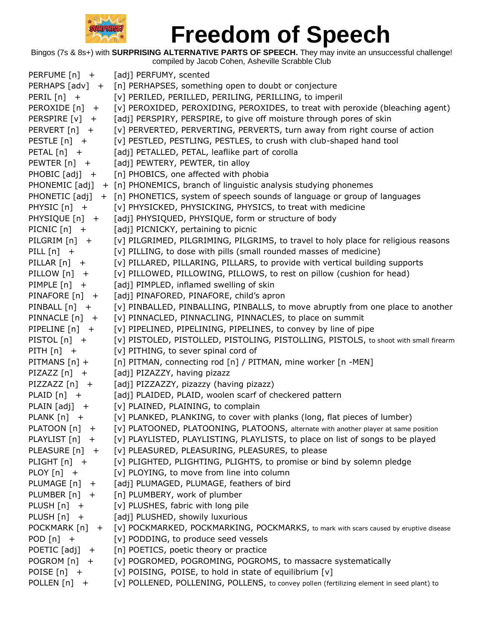

| PERFUME [n] +         | [adj] PERFUMY, scented                                                                    |
|-----------------------|-------------------------------------------------------------------------------------------|
| PERHAPS [adv] +       | [n] PERHAPSES, something open to doubt or conjecture                                      |
| PERIL $[n]$ +         | [v] PERILED, PERILLED, PERILING, PERILLING, to imperil                                    |
| PEROXIDE [n]<br>$+$   | [v] PEROXIDED, PEROXIDING, PEROXIDES, to treat with peroxide (bleaching agent)            |
| PERSPIRE [v]<br>$+$   | [adj] PERSPIRY, PERSPIRE, to give off moisture through pores of skin                      |
| PERVERT [n] +         | [v] PERVERTED, PERVERTING, PERVERTS, turn away from right course of action                |
| PESTLE $[n]$ +        | [v] PESTLED, PESTLING, PESTLES, to crush with club-shaped hand tool                       |
| PETAL $[n]$ +         | [adj] PETALLED, PETAL, leaflike part of corolla                                           |
| PEWTER $[n]$ +        | [adj] PEWTERY, PEWTER, tin alloy                                                          |
| PHOBIC [adj] +        | [n] PHOBICS, one affected with phobia                                                     |
| PHONEMIC [adj]        | + [n] PHONEMICS, branch of linguistic analysis studying phonemes                          |
| PHONETIC [adj]        | + [n] PHONETICS, system of speech sounds of language or group of languages                |
| PHYSIC [n] +          | [v] PHYSICKED, PHYSICKING, PHYSICS, to treat with medicine                                |
| PHYSIQUE [n] +        | [adj] PHYSIQUED, PHYSIQUE, form or structure of body                                      |
| PICNIC $[n]$ +        | [adj] PICNICKY, pertaining to picnic                                                      |
| PILGRIM $[n]$ +       | [v] PILGRIMED, PILGRIMING, PILGRIMS, to travel to holy place for religious reasons        |
| PILL $[n]$ +          | [v] PILLING, to dose with pills (small rounded masses of medicine)                        |
| PILLAR $[n]$ +        | [v] PILLARED, PILLARING, PILLARS, to provide with vertical building supports              |
| PILLOW $[n]$ +        | [v] PILLOWED, PILLOWING, PILLOWS, to rest on pillow (cushion for head)                    |
| PIMPLE $[n]$ +        | [adj] PIMPLED, inflamed swelling of skin                                                  |
| PINAFORE [n] +        | [adj] PINAFORED, PINAFORE, child's apron                                                  |
| PINBALL [n] +         | [v] PINBALLED, PINBALLING, PINBALLS, to move abruptly from one place to another           |
| PINNACLE $[n]$ +      | [v] PINNACLED, PINNACLING, PINNACLES, to place on summit                                  |
| PIPELINE $[n]$ +      | [v] PIPELINED, PIPELINING, PIPELINES, to convey by line of pipe                           |
| PISTOL $[n]$ +        | [v] PISTOLED, PISTOLLED, PISTOLING, PISTOLLING, PISTOLS, to shoot with small firearm      |
| PITH $[n]$ +          | [v] PITHING, to sever spinal cord of                                                      |
| PITMANS [n] +         | [n] PITMAN, connecting rod [n] / PITMAN, mine worker [n -MEN]                             |
| PIZAZZ $[n]$ +        | [adj] PIZAZZY, having pizazz                                                              |
| PIZZAZZ $[n]$ +       | [adj] PIZZAZZY, pizazzy (having pizazz)                                                   |
| PLAID $[n]$ +         | [adj] PLAIDED, PLAID, woolen scarf of checkered pattern                                   |
| PLAIN $[adj]$ +       | [v] PLAINED, PLAINING, to complain                                                        |
| PLANK $[n]$ +         | [v] PLANKED, PLANKING, to cover with planks (long, flat pieces of lumber)                 |
| PLATOON [n]<br>$^{+}$ | [v] PLATOONED, PLATOONING, PLATOONS, alternate with another player at same position       |
| PLAYLIST [n] +        | [v] PLAYLISTED, PLAYLISTING, PLAYLISTS, to place on list of songs to be played            |
| PLEASURE $[n]$ +      | [v] PLEASURED, PLEASURING, PLEASURES, to please                                           |
| PLIGHT $[n]$ +        | [v] PLIGHTED, PLIGHTING, PLIGHTS, to promise or bind by solemn pledge                     |
| PLOY [n] +            | [v] PLOYING, to move from line into column                                                |
| PLUMAGE $[n]$ +       | [adj] PLUMAGED, PLUMAGE, feathers of bird                                                 |
| PLUMBER [n] +         | [n] PLUMBERY, work of plumber                                                             |
| PLUSH $[n]$ +         | [v] PLUSHES, fabric with long pile                                                        |
| $PLUSH[n] +$          | [adj] PLUSHED, showily luxurious                                                          |
| POCKMARK [n] +        | [V] POCKMARKED, POCKMARKING, POCKMARKS, to mark with scars caused by eruptive disease     |
| POD $[n]$ +           | [v] PODDING, to produce seed vessels                                                      |
| POETIC $[adj] +$      | [n] POETICS, poetic theory or practice                                                    |
| $POGROM[n] +$         | [v] POGROMED, POGROMING, POGROMS, to massacre systematically                              |
| POISE $[n]$ +         | [v] POISING, POISE, to hold in state of equilibrium [v]                                   |
| POLLEN $[n]$ +        | [v] POLLENED, POLLENING, POLLENS, to convey pollen (fertilizing element in seed plant) to |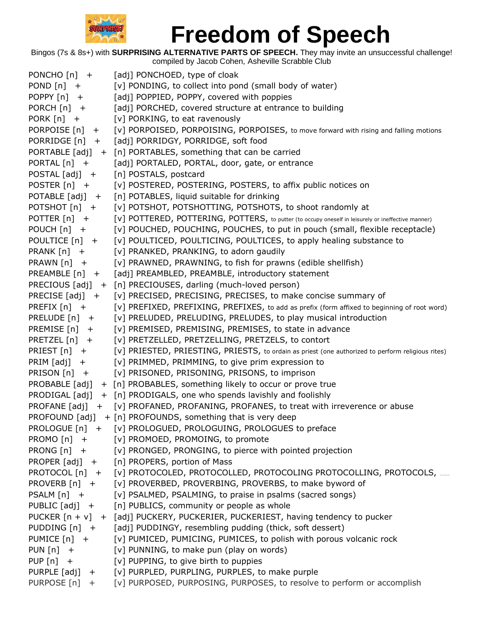

| PONCHO $[n]$ +     | [adj] PONCHOED, type of cloak                                                                      |
|--------------------|----------------------------------------------------------------------------------------------------|
| POND $[n]$ +       | [v] PONDING, to collect into pond (small body of water)                                            |
| POPPY $[n]$ +      | [adj] POPPIED, POPPY, covered with poppies                                                         |
| PORCH [n] +        | [adj] PORCHED, covered structure at entrance to building                                           |
| PORK $[n]$ +       | [v] PORKING, to eat ravenously                                                                     |
| PORPOISE [n] +     | [v] PORPOISED, PORPOISING, PORPOISES, to move forward with rising and falling motions              |
| PORRIDGE [n] +     | [adj] PORRIDGY, PORRIDGE, soft food                                                                |
|                    | PORTABLE [adj] + [n] PORTABLES, something that can be carried                                      |
| PORTAL $[n]$ +     | [adj] PORTALED, PORTAL, door, gate, or entrance                                                    |
| $POSTAL [adj] +$   | [n] POSTALS, postcard                                                                              |
| POSTER $[n]$ +     | [v] POSTERED, POSTERING, POSTERS, to affix public notices on                                       |
| POTABLE [adj] +    | [n] POTABLES, liquid suitable for drinking                                                         |
| POTSHOT $[n]$ +    | [v] POTSHOT, POTSHOTTING, POTSHOTS, to shoot randomly at                                           |
| POTTER $[n]$ +     | [V] POTTERED, POTTERING, POTTERS, to putter (to occupy oneself in leisurely or ineffective manner) |
| POUCH $[n]$ +      | [v] POUCHED, POUCHING, POUCHES, to put in pouch (small, flexible receptacle)                       |
| POULTICE [n] +     | [v] POULTICED, POULTICING, POULTICES, to apply healing substance to                                |
| PRANK $[n]$ +      | [v] PRANKED, PRANKING, to adorn gaudily                                                            |
| PRAWN $[n]$ +      | [v] PRAWNED, PRAWNING, to fish for prawns (edible shellfish)                                       |
| $PREAMBLE[n] +$    | [adj] PREAMBLED, PREAMBLE, introductory statement                                                  |
|                    | PRECIOUS [adj] + [n] PRECIOUSES, darling (much-loved person)                                       |
| PRECISE $[adj] +$  | [v] PRECISED, PRECISING, PRECISES, to make concise summary of                                      |
| PREFIX $[n]$ +     | [v] PREFIXED, PREFIXING, PREFIXES, to add as prefix (form affixed to beginning of root word)       |
| PRELUDE $[n]$ +    | [v] PRELUDED, PRELUDING, PRELUDES, to play musical introduction                                    |
| PREMISE [n]<br>$+$ | [v] PREMISED, PREMISING, PREMISES, to state in advance                                             |
| PRETZEL $[n]$ +    | [v] PRETZELLED, PRETZELLING, PRETZELS, to contort                                                  |
| PRIEST $[n]$ +     | [v] PRIESTED, PRIESTING, PRIESTS, to ordain as priest (one authorized to perform religious rites)  |
| PRIM $[adj]$ +     | [v] PRIMMED, PRIMMING, to give prim expression to                                                  |
| PRISON [n] +       | [v] PRISONED, PRISONING, PRISONS, to imprison                                                      |
| PROBABLE [adj]     | + [n] PROBABLES, something likely to occur or prove true                                           |
| PRODIGAL [adj]     | + [n] PRODIGALS, one who spends lavishly and foolishly                                             |
|                    | PROFANE [adj] + [v] PROFANED, PROFANING, PROFANES, to treat with irreverence or abuse              |
| PROFOUND [adj]     | + [n] PROFOUNDS, something that is very deep                                                       |
|                    | PROLOGUE [n] + [v] PROLOGUED, PROLOGUING, PROLOGUES to preface                                     |
| PROMO $[n]$ +      | [v] PROMOED, PROMOING, to promote                                                                  |
| PRONG $[n]$ +      | [v] PRONGED, PRONGING, to pierce with pointed projection                                           |
| PROPER $[adj] +$   | [n] PROPERS, portion of Mass                                                                       |
|                    | PROTOCOL [n] + [v] PROTOCOLED, PROTOCOLLED, PROTOCOLING PROTOCOLLING, PROTOCOLS, __                |
| PROVERB $[n]$ +    | [v] PROVERBED, PROVERBING, PROVERBS, to make byword of                                             |
| PSALM $[n]$ +      | [v] PSALMED, PSALMING, to praise in psalms (sacred songs)                                          |
| PUBLIC [adj] +     | [n] PUBLICS, community or people as whole                                                          |
|                    | PUCKER $[n + v] + [adj]$ PUCKERY, PUCKERIER, PUCKERIEST, having tendency to pucker                 |
| PUDDING $[n]$ +    | [adj] PUDDINGY, resembling pudding (thick, soft dessert)                                           |
| PUMICE [n] +       | [v] PUMICED, PUMICING, PUMICES, to polish with porous volcanic rock                                |
| PUN $[n]$ +        | [v] PUNNING, to make pun (play on words)                                                           |
| PUP $[n]$ +        | [v] PUPPING, to give birth to puppies                                                              |
|                    | PURPLE [adj] + [v] PURPLED, PURPLING, PURPLES, to make purple                                      |
| PURPOSE [n] +      | [v] PURPOSED, PURPOSING, PURPOSES, to resolve to perform or accomplish                             |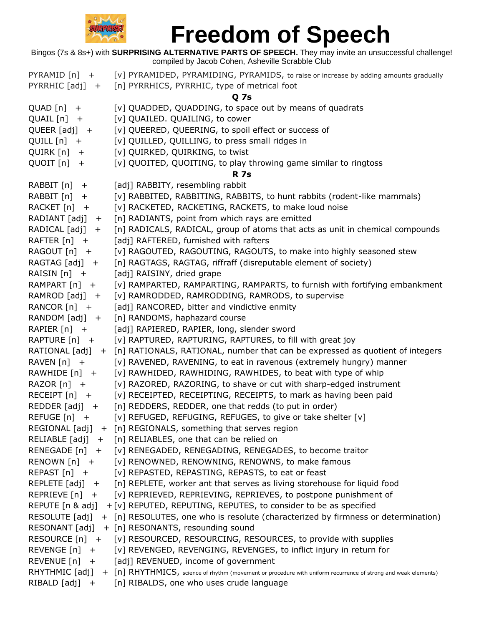

|                             | Bingos (7s & 8s+) with <b>SURPRISING ALTERNATIVE PARTS OF SPEECH</b> . They may invite an unsuccessful challenge!<br>compiled by Jacob Cohen, Asheville Scrabble Club |
|-----------------------------|-----------------------------------------------------------------------------------------------------------------------------------------------------------------------|
| $PYRAMID[n] +$              | [v] PYRAMIDED, PYRAMIDING, PYRAMIDS, to raise or increase by adding amounts gradually                                                                                 |
| PYRRHIC $[adj]$ +           | [n] PYRRHICS, PYRRHIC, type of metrical foot                                                                                                                          |
|                             | <b>Q7s</b>                                                                                                                                                            |
| $QUAD[n]$ +                 | [v] QUADDED, QUADDING, to space out by means of quadrats                                                                                                              |
| $QUAIL[n] +$                | [v] QUAILED. QUAILING, to cower                                                                                                                                       |
| $QUEER [adj] +$             | [v] QUEERED, QUEERING, to spoil effect or success of                                                                                                                  |
| QUILL $[n]$ +               | [v] QUILLED, QUILLING, to press small ridges in                                                                                                                       |
| $QUIRK[n] +$                | [v] QUIRKED, QUIRKING, to twist                                                                                                                                       |
| $QUOIT[n] +$                | [v] QUOITED, QUOITING, to play throwing game similar to ringtoss                                                                                                      |
|                             | <b>R</b> 7s                                                                                                                                                           |
| RABBIT $[n]$ +              | [adj] RABBITY, resembling rabbit                                                                                                                                      |
| RABBIT $[n]$ +              | [v] RABBITED, RABBITING, RABBITS, to hunt rabbits (rodent-like mammals)                                                                                               |
| RACKET $[n]$ +              | [v] RACKETED, RACKETING, RACKETS, to make loud noise                                                                                                                  |
| RADIANT $[adj]$ +           | [n] RADIANTS, point from which rays are emitted                                                                                                                       |
| RADICAL $[adj] +$           | [n] RADICALS, RADICAL, group of atoms that acts as unit in chemical compounds                                                                                         |
| $RA$ FTER $[n]$ +           | [adj] RAFTERED, furnished with rafters                                                                                                                                |
| RAGOUT $[n]$ +              | [v] RAGOUTED, RAGOUTING, RAGOUTS, to make into highly seasoned stew                                                                                                   |
| RAGTAG $[adj] +$            | [n] RAGTAGS, RAGTAG, riffraff (disreputable element of society)                                                                                                       |
| RAISIN $[n]$ +              | [adj] RAISINY, dried grape                                                                                                                                            |
| RAMPART [n] +               | [v] RAMPARTED, RAMPARTING, RAMPARTS, to furnish with fortifying embankment                                                                                            |
| RAMROD $[adj] +$            | [v] RAMRODDED, RAMRODDING, RAMRODS, to supervise                                                                                                                      |
| RANCOR $[n]$ +              | [adj] RANCORED, bitter and vindictive enmity                                                                                                                          |
| RANDOM $[adj] +$            | [n] RANDOMS, haphazard course                                                                                                                                         |
| RAPIER $[n]$ +              | [adj] RAPIERED, RAPIER, long, slender sword                                                                                                                           |
| RAPTURE [n] +               | [v] RAPTURED, RAPTURING, RAPTURES, to fill with great joy                                                                                                             |
|                             | RATIONAL [adj] + [n] RATIONALS, RATIONAL, number that can be expressed as quotient of integers                                                                        |
| RAVEN $[n]$ +               | [v] RAVENED, RAVENING, to eat in ravenous (extremely hungry) manner                                                                                                   |
| RAWHIDE [n] +               | [v] RAWHIDED, RAWHIDING, RAWHIDES, to beat with type of whip                                                                                                          |
| RAZOR $[n]$ +               | [v] RAZORED, RAZORING, to shave or cut with sharp-edged instrument                                                                                                    |
| RECEIPT $[n]$ +             | [v] RECEIPTED, RECEIPTING, RECEIPTS, to mark as having been paid                                                                                                      |
| $REDDER [adj] +$            | [n] REDDERS, REDDER, one that redds (to put in order)                                                                                                                 |
| $REFUGE[n] +$               | [v] REFUGED, REFUGING, REFUGES, to give or take shelter [v]                                                                                                           |
|                             | REGIONAL [adj] + [n] REGIONALS, something that serves region                                                                                                          |
|                             | RELIABLE $[adj] + [n]$ RELIABLES, one that can be relied on                                                                                                           |
|                             | RENEGADE [n] + [v] RENEGADED, RENEGADING, RENEGADES, to become traitor                                                                                                |
| RENOWN $[n]$ +              | [v] RENOWNED, RENOWNING, RENOWNS, to make famous                                                                                                                      |
| $REPAST[n] +$               | [v] REPASTED, REPASTING, REPASTS, to eat or feast                                                                                                                     |
|                             | REPLETE $[adj] + [n]$ REPLETE, worker ant that serves as living storehouse for liquid food                                                                            |
| REPRIEVE $[n]$ +            | [v] REPRIEVED, REPRIEVING, REPRIEVES, to postpone punishment of                                                                                                       |
| REPUTE [n & adj]            | + [v] REPUTED, REPUTING, REPUTES, to consider to be as specified                                                                                                      |
|                             | RESOLUTE [adj] + [n] RESOLUTES, one who is resolute (characterized by firmness or determination)                                                                      |
|                             | RESONANT [adj] + [n] RESONANTS, resounding sound                                                                                                                      |
|                             | RESOURCE [n] + [v] RESOURCED, RESOURCING, RESOURCES, to provide with supplies                                                                                         |
| $REVENCE[n] +$              | [v] REVENGED, REVENGING, REVENGES, to inflict injury in return for                                                                                                    |
| REVENUE $\lceil n \rceil$ + | [adj] REVENUED, income of government                                                                                                                                  |
|                             | RHYTHMIC [adj] + [n] RHYTHMICS, science of rhythm (movement or procedure with uniform recurrence of strong and weak elements)                                         |
|                             | RIBALD [adj] + [n] RIBALDS, one who uses crude language                                                                                                               |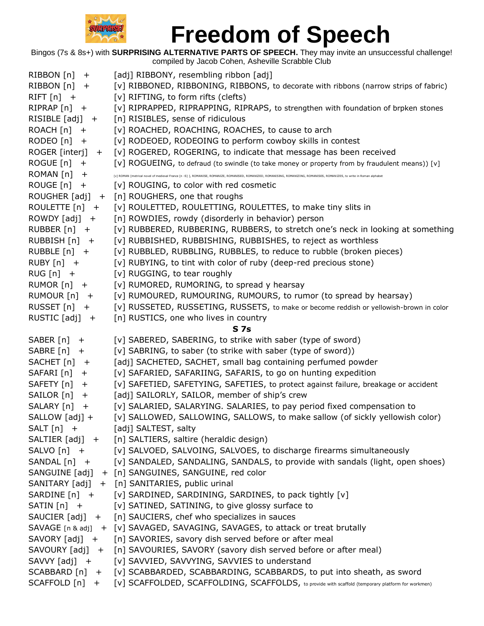

| RIBBON [n]<br>$+$    | [adj] RIBBONY, resembling ribbon [adj]                                                                                                                                    |
|----------------------|---------------------------------------------------------------------------------------------------------------------------------------------------------------------------|
| $RIBBON[n]$ +        | [v] RIBBONED, RIBBONING, RIBBONS, to decorate with ribbons (narrow strips of fabric)                                                                                      |
| $RIFT[n]$ +          | [v] RIFTING, to form rifts (clefts)                                                                                                                                       |
| $RIPRAP[n]$ +        | [v] RIPRAPPED, RIPRAPPING, RIPRAPS, to strengthen with foundation of brpken stones                                                                                        |
| RISIBLE $[adj] +$    | [n] RISIBLES, sense of ridiculous                                                                                                                                         |
| $ROACH[n] +$         | [v] ROACHED, ROACHING, ROACHES, to cause to arch                                                                                                                          |
| RODEO $[n]$ +        | [v] RODEOED, RODEOING to perform cowboy skills in contest                                                                                                                 |
| ROGER [interj] +     | [v] ROGERED, ROGERING, to indicate that message has been received                                                                                                         |
| ROGUE $[n]$ +        | [v] ROGUEING, to defraud (to swindle (to take money or property from by fraudulent means)) [v]                                                                            |
| ROMAN [n]<br>$+$     | [v] ROMAN [metrical novel of medieval France [n -S] ], ROMANISE, ROMANIZE, ROMANISED, ROMANIZED, ROMANISING, ROMANIZING, ROMANISES, ROMANIZES, to write in Roman alphabet |
| ROUGE $[n]$ +        | [v] ROUGING, to color with red cosmetic                                                                                                                                   |
| ROUGHER [adj] +      | [n] ROUGHERS, one that roughs                                                                                                                                             |
| ROULETTE $[n]$ +     | [v] ROULETTED, ROULETTING, ROULETTES, to make tiny slits in                                                                                                               |
| $ROWDY [adj] +$      | [n] ROWDIES, rowdy (disorderly in behavior) person                                                                                                                        |
| RUBBER $[n]$ +       | [v] RUBBERED, RUBBERING, RUBBERS, to stretch one's neck in looking at something                                                                                           |
| RUBBISH [n] +        | [v] RUBBISHED, RUBBISHING, RUBBISHES, to reject as worthless                                                                                                              |
| $RUBBLE[n] +$        | [v] RUBBLED, RUBBLING, RUBBLES, to reduce to rubble (broken pieces)                                                                                                       |
| $RUBY[n] +$          | [v] RUBYING, to tint with color of ruby (deep-red precious stone)                                                                                                         |
| $RUG[n]$ +           | [v] RUGGING, to tear roughly                                                                                                                                              |
| RUMOR $[n]$ +        | [v] RUMORED, RUMORING, to spread y hearsay                                                                                                                                |
| RUMOUR $[n]$ +       | [v] RUMOURED, RUMOURING, RUMOURS, to rumor (to spread by hearsay)                                                                                                         |
| RUSSET $[n]$ +       | [v] RUSSETED, RUSSETING, RUSSETS, to make or become reddish or yellowish-brown in color                                                                                   |
| RUSTIC $[adj] +$     | [n] RUSTICS, one who lives in country                                                                                                                                     |
|                      | S <sub>7s</sub>                                                                                                                                                           |
| SABER [n]<br>$^{+}$  | [v] SABERED, SABERING, to strike with saber (type of sword)                                                                                                               |
| SABRE [n]<br>$+$     | [v] SABRING, to saber (to strike with saber (type of sword))                                                                                                              |
| $SACHET[n]$ +        | [adj] SACHETED, SACHET, small bag containing perfumed powder                                                                                                              |
| SAFARI [n]<br>$^{+}$ | [v] SAFARIED, SAFARIING, SAFARIS, to go on hunting expedition                                                                                                             |
| SAFETY $[n]$ +       | [v] SAFETIED, SAFETYING, SAFETIES, to protect against failure, breakage or accident                                                                                       |
| SAILOR [n]<br>$+$    | [adj] SAILORLY, SAILOR, member of ship's crew                                                                                                                             |
| SALARY [n] +         | [v] SALARIED, SALARYING. SALARIES, to pay period fixed compensation to                                                                                                    |
| SALLOW [adj] +       | [v] SALLOWED, SALLOWING, SALLOWS, to make sallow (of sickly yellowish color)                                                                                              |
| $SALT[n]$ +          | [adj] SALTEST, salty                                                                                                                                                      |
|                      | SALTIER [adj] + [n] SALTIERS, saltire (heraldic design)                                                                                                                   |
|                      | SALVO [n] + [v] SALVOED, SALVOING, SALVOES, to discharge firearms simultaneously                                                                                          |
| SANDAL [n] +         | [v] SANDALED, SANDALING, SANDALS, to provide with sandals (light, open shoes)                                                                                             |
|                      | SANGUINE [adj] + [n] SANGUINES, SANGUINE, red color                                                                                                                       |
|                      | SANITARY [adj] + [n] SANITARIES, public urinal                                                                                                                            |
| $SARDINE[n] +$       | [v] SARDINED, SARDINING, SARDINES, to pack tightly [v]                                                                                                                    |
| SATIN $[n]$ +        | [v] SATINED, SATINING, to give glossy surface to                                                                                                                          |
|                      | SAUCIER [adj] + [n] SAUCIERS, chef who specializes in sauces                                                                                                              |
|                      | SAVAGE $[n \& adj] + [V]$ SAVAGED, SAVAGING, SAVAGES, to attack or treat brutally                                                                                         |
| SAVORY [adj] +       | [n] SAVORIES, savory dish served before or after meal                                                                                                                     |
|                      | SAVOURY [adj] + [n] SAVOURIES, SAVORY (savory dish served before or after meal)                                                                                           |
| SAVVY [adj] +        | [v] SAVVIED, SAVVYING, SAVVIES to understand                                                                                                                              |
|                      | SCABBARD [n] + [v] SCABBARDED, SCABBARDING, SCABBARDS, to put into sheath, as sword                                                                                       |
| $SCAFFOLD[n] +$      | [V] SCAFFOLDED, SCAFFOLDING, SCAFFOLDS, to provide with scaffold (temporary platform for workmen)                                                                         |
|                      |                                                                                                                                                                           |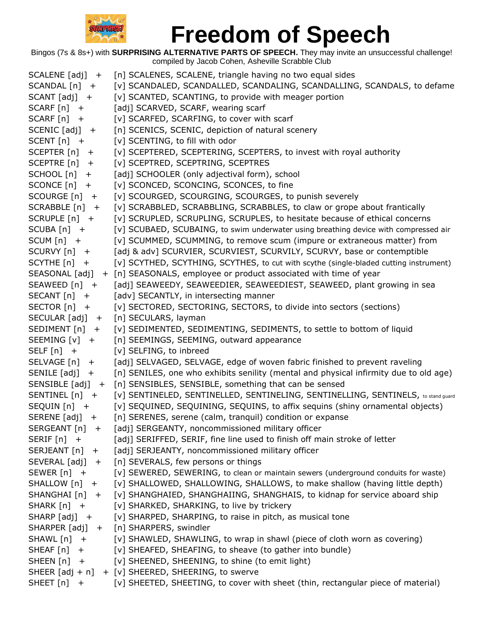

| $SCALENE [adj] +$    | [n] SCALENES, SCALENE, triangle having no two equal sides                             |
|----------------------|---------------------------------------------------------------------------------------|
| SCANDAL [n] +        | [v] SCANDALED, SCANDALLED, SCANDALING, SCANDALLING, SCANDALS, to defame               |
| $SCANT [adj] +$      | [v] SCANTED, SCANTING, to provide with meager portion                                 |
| $SCARF[n]$ +         | [adj] SCARVED, SCARF, wearing scarf                                                   |
| SCARF [n] +          | [v] SCARFED, SCARFING, to cover with scarf                                            |
| $SCENIC [adj] +$     | [n] SCENICS, SCENIC, depiction of natural scenery                                     |
| $SCENT[n] +$         | [v] SCENTING, to fill with odor                                                       |
| SCEPTER $[n]$ +      | [v] SCEPTERED, SCEPTERING, SCEPTERS, to invest with royal authority                   |
| SCEPTRE [n] +        | [v] SCEPTRED, SCEPTRING, SCEPTRES                                                     |
| SCHOOL [n]<br>$+$    | [adj] SCHOOLER (only adjectival form), school                                         |
| SCONCE [n]<br>$+$    | [v] SCONCED, SCONCING, SCONCES, to fine                                               |
| SCOURGE [n] +        | [v] SCOURGED, SCOURGING, SCOURGES, to punish severely                                 |
| SCRABBLE [n] +       | [v] SCRABBLED, SCRABBLING, SCRABBLES, to claw or grope about frantically              |
| $SCRUPLE[n]$ +       | [v] SCRUPLED, SCRUPLING, SCRUPLES, to hesitate because of ethical concerns            |
| $SCUBA[n]$ +         | [v] SCUBAED, SCUBAING, to swim underwater using breathing device with compressed air  |
| $SCUM[n] +$          | [v] SCUMMED, SCUMMING, to remove scum (impure or extraneous matter) from              |
| SCURVY $[n]$ +       | [adj & adv] SCURVIER, SCURVIEST, SCURVILY, SCURVY, base or contemptible               |
| SCYTHE $[n]$ +       | [v] SCYTHED, SCYTHING, SCYTHES, to cut with scythe (single-bladed cutting instrument) |
|                      | SEASONAL [adj] + [n] SEASONALS, employee or product associated with time of year      |
| SEAWEED [n] +        | [adj] SEAWEEDY, SEAWEEDIER, SEAWEEDIEST, SEAWEED, plant growing in sea                |
| $SECANT[n]$ +        | [adv] SECANTLY, in intersecting manner                                                |
| SECTOR $[n]$ +       | [v] SECTORED, SECTORING, SECTORS, to divide into sectors (sections)                   |
| $SECULAR [adj] +$    | [n] SECULARS, layman                                                                  |
| SEDIMENT $[n]$ +     | [v] SEDIMENTED, SEDIMENTING, SEDIMENTS, to settle to bottom of liquid                 |
| SEEMING [v] +        | [n] SEEMINGS, SEEMING, outward appearance                                             |
| SELF $[n]$ +         | [v] SELFING, to inbreed                                                               |
| SELVAGE [n] +        | [adj] SELVAGED, SELVAGE, edge of woven fabric finished to prevent raveling            |
| SENILE [adj]<br>$+$  | [n] SENILES, one who exhibits senility (mental and physical infirmity due to old age) |
| SENSIBLE [adj] +     | [n] SENSIBLES, SENSIBLE, something that can be sensed                                 |
| SENTINEL [n] +       | [V] SENTINELED, SENTINELLED, SENTINELING, SENTINELLING, SENTINELS, to stand guard     |
| SEQUIN [n] +         | [v] SEQUINED, SEQUINING, SEQUINS, to affix sequins (shiny ornamental objects)         |
| SERENE [adj] +       | [n] SERENES, serene (calm, tranquil) condition or expanse                             |
| SERGEANT [n] +       | [adj] SERGEANTY, noncommissioned military officer                                     |
| SERIF $[n]$ +        | [adj] SERIFFED, SERIF, fine line used to finish off main stroke of letter             |
| SERJEANT [n] +       | [adj] SERJEANTY, noncommissioned military officer                                     |
| $SEVERAL [adj] +$    | [n] SEVERALS, few persons or things                                                   |
| SEWER $[n]$ +        | [v] SEWERED, SEWERING, to clean or maintain sewers (underground conduits for waste)   |
| $SHALLOW[n] +$       | [v] SHALLOWED, SHALLOWING, SHALLOWS, to make shallow (having little depth)            |
| SHANGHAI [n] +       | [v] SHANGHAIED, SHANGHAIING, SHANGHAIS, to kidnap for service aboard ship             |
| SHARK $[n]$ +        | [v] SHARKED, SHARKING, to live by trickery                                            |
| $SHARP [adj] +$      | [v] SHARPED, SHARPING, to raise in pitch, as musical tone                             |
| SHARPER [adj]<br>$+$ | [n] SHARPERS, swindler                                                                |
| SHAWL [n]<br>$+$     | [v] SHAWLED, SHAWLING, to wrap in shawl (piece of cloth worn as covering)             |
| SHEAF [n]<br>$+$     | [v] SHEAFED, SHEAFING, to sheave (to gather into bundle)                              |
| SHEEN $[n]$ +        | [v] SHEENED, SHEENING, to shine (to emit light)                                       |
|                      | SHEER [adj + n] + [v] SHEERED, SHEERING, to swerve                                    |
| SHEET $[n]$ +        | [v] SHEETED, SHEETING, to cover with sheet (thin, rectangular piece of material)      |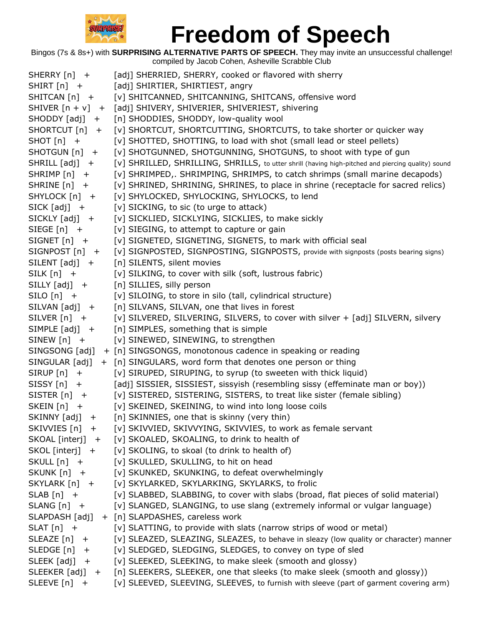

| SHERRY [n] +      | [adj] SHERRIED, SHERRY, cooked or flavored with sherry                                             |
|-------------------|----------------------------------------------------------------------------------------------------|
| $SHIRT[n]$ +      | [adj] SHIRTIER, SHIRTIEST, angry                                                                   |
| SHITCAN [n] +     | [v] SHITCANNED, SHITCANNING, SHITCANS, offensive word                                              |
|                   | SHIVER [n + v] + [adj] SHIVERY, SHIVERIER, SHIVERIEST, shivering                                   |
| $SHODDY [adj] +$  | [n] SHODDIES, SHODDY, low-quality wool                                                             |
| SHORTCUT $[n]$ +  | [v] SHORTCUT, SHORTCUTTING, SHORTCUTS, to take shorter or quicker way                              |
| $SHOT[n]$ +       | [v] SHOTTED, SHOTTING, to load with shot (small lead or steel pellets)                             |
| SHOTGUN [n] +     | [v] SHOTGUNNED, SHOTGUNNING, SHOTGUNS, to shoot with type of gun                                   |
| $SHRILL [adj] +$  | [v] SHRILLED, SHRILLING, SHRILLS, to utter shrill (having high-pitched and piercing quality) sound |
| $SHRIMP[n]$ +     | [v] SHRIMPED,. SHRIMPING, SHRIMPS, to catch shrimps (small marine decapods)                        |
| SHRINE $[n]$ +    | [v] SHRINED, SHRINING, SHRINES, to place in shrine (receptacle for sacred relics)                  |
| SHYLOCK [n] +     | [v] SHYLOCKED, SHYLOCKING, SHYLOCKS, to lend                                                       |
| $SICK [adj] +$    | [v] SICKING, to sic (to urge to attack)                                                            |
| $SICKLY [adj] +$  | [v] SICKLIED, SICKLYING, SICKLIES, to make sickly                                                  |
| SIEGE $[n]$ +     | [v] SIEGING, to attempt to capture or gain                                                         |
| $SIGNET[n] +$     | [v] SIGNETED, SIGNETING, SIGNETS, to mark with official seal                                       |
| $SIGNPOST[n]$ +   | [v] SIGNPOSTED, SIGNPOSTING, SIGNPOSTS, provide with signposts (posts bearing signs)               |
| $SILENT [adj] +$  | [n] SILENTS, silent movies                                                                         |
| $SILK[n]$ +       | [v] SILKING, to cover with silk (soft, lustrous fabric)                                            |
| $SILLY [adj] +$   | [n] SILLIES, silly person                                                                          |
| $SILO[n]$ +       | [v] SILOING, to store in silo (tall, cylindrical structure)                                        |
| SILVAN [adj] +    | [n] SILVANS, SILVAN, one that lives in forest                                                      |
| SILVER $[n]$ +    | [v] SILVERED, SILVERING, SILVERS, to cover with silver + [adj] SILVERN, silvery                    |
| SIMPLE $[adj] +$  | [n] SIMPLES, something that is simple                                                              |
| SINEW $[n]$ +     | [v] SINEWED, SINEWING, to strengthen                                                               |
| SINGSONG [adj]    | + [n] SINGSONGS, monotonous cadence in speaking or reading                                         |
| SINGULAR [adj]    | + [n] SINGULARS, word form that denotes one person or thing                                        |
| $SIRUP[n]$ +      | [v] SIRUPED, SIRUPING, to syrup (to sweeten with thick liquid)                                     |
| $SISSY[n]$ +      | [adj] SISSIER, SISSIEST, sissyish (resembling sissy (effeminate man or boy))                       |
| SISTER $[n]$ +    | [v] SISTERED, SISTERING, SISTERS, to treat like sister (female sibling)                            |
| SKEIN $[n]$ +     | [v] SKEINED, SKEINING, to wind into long loose coils                                               |
| $SKINNY [adj] +$  | [n] SKINNIES, one that is skinny (very thin)                                                       |
| SKIVVIES [n] +    | [v] SKIVVIED, SKIVVYING, SKIVVIES, to work as female servant                                       |
| SKOAL [interj] +  | [v] SKOALED, SKOALING, to drink to health of                                                       |
| SKOL [interj] +   | [v] SKOLING, to skoal (to drink to health of)                                                      |
| SKULL [n] +       | [v] SKULLED, SKULLING, to hit on head                                                              |
| SKUNK [n] +       | [v] SKUNKED, SKUNKING, to defeat overwhelmingly                                                    |
| $SKYLARK[n] +$    | [v] SKYLARKED, SKYLARKING, SKYLARKS, to frolic                                                     |
| $SLAB[n]$ +       | [v] SLABBED, SLABBING, to cover with slabs (broad, flat pieces of solid material)                  |
| $SLANG[n]$ +      | [v] SLANGED, SLANGING, to use slang (extremely informal or vulgar language)                        |
| SLAPDASH [adj]    | + [n] SLAPDASHES, careless work                                                                    |
| $SLAT[n]$ +       | [v] SLATTING, to provide with slats (narrow strips of wood or metal)                               |
| SLEAZE $[n]$ +    | [v] SLEAZED, SLEAZING, SLEAZES, to behave in sleazy (low quality or character) manner              |
| SLEDGE $[n]$ +    | [v] SLEDGED, SLEDGING, SLEDGES, to convey on type of sled                                          |
| $SLEEK [adj] +$   | [v] SLEEKED, SLEEKING, to make sleek (smooth and glossy)                                           |
| SLEEKER $[adj] +$ | [n] SLEEKERS, SLEEKER, one that sleeks (to make sleek (smooth and glossy))                         |
| SLEEVE $[n]$ +    | [v] SLEEVED, SLEEVING, SLEEVES, to furnish with sleeve (part of garment covering arm)              |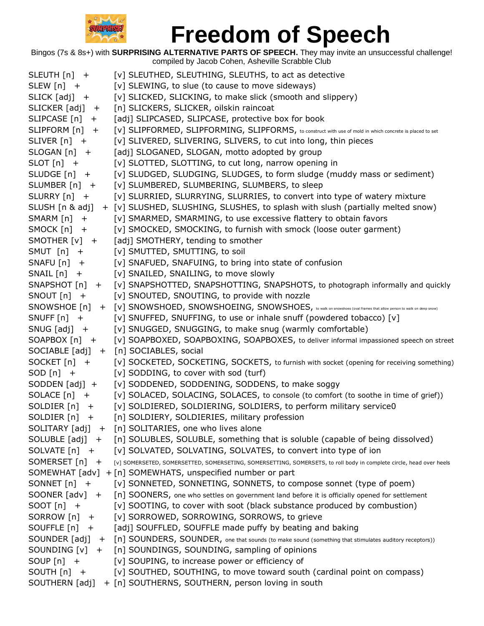

| SLEUTH [n] +       | [v] SLEUTHED, SLEUTHING, SLEUTHS, to act as detective                                                                           |
|--------------------|---------------------------------------------------------------------------------------------------------------------------------|
| SLEW $[n]$ +       | [v] SLEWING, to slue (to cause to move sideways)                                                                                |
| $SLICK [adj] +$    | [v] SLICKED, SLICKING, to make slick (smooth and slippery)                                                                      |
| SLICKER $[adj] +$  | [n] SLICKERS, SLICKER, oilskin raincoat                                                                                         |
| $SLIPCASE[n] +$    | [adj] SLIPCASED, SLIPCASE, protective box for book                                                                              |
| SLIPFORM $[n]$ +   | [V] SLIPFORMED, SLIPFORMING, SLIPFORMS, to construct with use of mold in which concrete is placed to set                        |
| $SLIVER[n] +$      | [v] SLIVERED, SLIVERING, SLIVERS, to cut into long, thin pieces                                                                 |
| $SLOGAN[n]$ +      | [adj] SLOGANED, SLOGAN, motto adopted by group                                                                                  |
| $SLOT[n]$ +        | [v] SLOTTED, SLOTTING, to cut long, narrow opening in                                                                           |
| $SLUDGE[n]$ +      | [v] SLUDGED, SLUDGING, SLUDGES, to form sludge (muddy mass or sediment)                                                         |
| SLUMBER [n] +      | [v] SLUMBERED, SLUMBERING, SLUMBERS, to sleep                                                                                   |
| SLURRY [n] +       | [v] SLURRIED, SLURRYING, SLURRIES, to convert into type of watery mixture                                                       |
|                    | SLUSH [n & adj] + [v] SLUSHED, SLUSHING, SLUSHES, to splash with slush (partially melted snow)                                  |
| SMARM $[n]$ +      | [v] SMARMED, SMARMING, to use excessive flattery to obtain favors                                                               |
| $SMOCK$ $[n]$ +    | [v] SMOCKED, SMOCKING, to furnish with smock (loose outer garment)                                                              |
| SMOTHER $[v]$ +    | [adj] SMOTHERY, tending to smother                                                                                              |
| SMUT $[n]$ +       | [v] SMUTTED, SMUTTING, to soil                                                                                                  |
| $SNAFU[n]$ +       | [v] SNAFUED, SNAFUING, to bring into state of confusion                                                                         |
| $SNAIL[n] +$       | [v] SNAILED, SNAILING, to move slowly                                                                                           |
|                    | SNAPSHOT [n] + [v] SNAPSHOTTED, SNAPSHOTTING, SNAPSHOTS, to photograph informally and quickly                                   |
| SNOUT $[n]$ +      | [v] SNOUTED, SNOUTING, to provide with nozzle                                                                                   |
|                    | SNOWSHOE [n] + [v] SNOWSHOED, SNOWSHOEING, SNOWSHOES, to walk on snowshoes (oval frames that allow person to walk on deep snow) |
| SNUFF $[n]$ +      | [v] SNUFFED, SNUFFING, to use or inhale snuff (powdered tobacco) [v]                                                            |
| SNUG $[adj]$ +     | [v] SNUGGED, SNUGGING, to make snug (warmly comfortable)                                                                        |
| $SOAPBOX[n]$ +     | [v] SOAPBOXED, SOAPBOXING, SOAPBOXES, to deliver informal impassioned speech on street                                          |
|                    | SOCIABLE [adj] + [n] SOCIABLES, social                                                                                          |
| $SOCKET[n]$ +      | [v] SOCKETED, SOCKETING, SOCKETS, to furnish with socket (opening for receiving something)                                      |
| SOD $[n]$ +        | [v] SODDING, to cover with sod (turf)                                                                                           |
| $SODDEN [adj] +$   | [v] SODDENED, SODDENING, SODDENS, to make soggy                                                                                 |
| $SOLACE[n]$ +      | [v] SOLACED, SOLACING, SOLACES, to console (to comfort (to soothe in time of grief))                                            |
| SOLDIER $[n]$ +    | [v] SOLDIERED, SOLDIERING, SOLDIERS, to perform military service0                                                               |
| SOLDIER [n]<br>$+$ | [n] SOLDIERY, SOLDIERIES, military profession                                                                                   |
|                    | SOLITARY [adj] + [n] SOLITARIES, one who lives alone                                                                            |
|                    | SOLUBLE [adj] + [n] SOLUBLES, SOLUBLE, something that is soluble (capable of being dissolved)                                   |
| SOLVATE $[n]$ +    | [v] SOLVATED, SOLVATING, SOLVATES, to convert into type of ion                                                                  |
| SOMERSET [n] +     | [v] SOMERSETED, SOMERSETTED, SOMERSETING, SOMERSETTING, SOMERSETS, to roll body in complete circle, head over heels             |
|                    | SOMEWHAT [adv] + [n] SOMEWHATS, unspecified number or part                                                                      |
| SONNET $[n]$ +     | [v] SONNETED, SONNETING, SONNETS, to compose sonnet (type of poem)                                                              |
| SOONER $[adv] +$   | [n] SOONERS, one who settles on government land before it is officially opened for settlement                                   |
| $SOOT[n]$ +        | [v] SOOTING, to cover with soot (black substance produced by combustion)                                                        |
| SORROW [n] +       | [v] SORROWED, SORROWING, SORROWS, to grieve                                                                                     |
| SOUFFLE $[n]$ +    | [adj] SOUFFLED, SOUFFLE made puffy by beating and baking                                                                        |
|                    | SOUNDER [adj] + [n] SOUNDERS, SOUNDER, one that sounds (to make sound (something that stimulates auditory receptors))           |
|                    | SOUNDING [v] + [n] SOUNDINGS, SOUNDING, sampling of opinions                                                                    |
| SOUP $[n]$ +       | [v] SOUPING, to increase power or efficiency of                                                                                 |
| $SOUTH[n] +$       | [v] SOUTHED, SOUTHING, to move toward south (cardinal point on compass)                                                         |
|                    | SOUTHERN [adj] + [n] SOUTHERNS, SOUTHERN, person loving in south                                                                |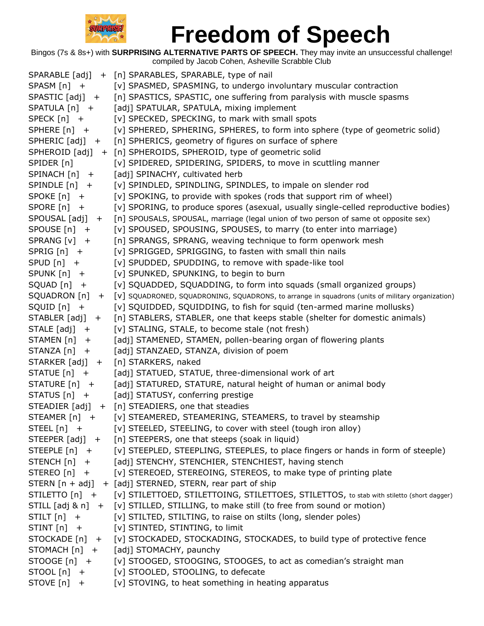

|                   | SPARABLE [adj] + [n] SPARABLES, SPARABLE, type of nail                                                          |
|-------------------|-----------------------------------------------------------------------------------------------------------------|
| $SPASM[n]$ +      | [v] SPASMED, SPASMING, to undergo involuntary muscular contraction                                              |
| $SPASTIC [adj] +$ | [n] SPASTICS, SPASTIC, one suffering from paralysis with muscle spasms                                          |
| $SPATULA [n] +$   | [adj] SPATULAR, SPATULA, mixing implement                                                                       |
| SPECK $[n]$ +     | [v] SPECKED, SPECKING, to mark with small spots                                                                 |
| SPHERE $[n]$ +    | [v] SPHERED, SPHERING, SPHERES, to form into sphere (type of geometric solid)                                   |
| $SPHERIC [adj] +$ | [n] SPHERICS, geometry of figures on surface of sphere                                                          |
|                   | SPHEROID [adj] + [n] SPHEROIDS, SPHEROID, type of geometric solid                                               |
| SPIDER [n]        | [v] SPIDERED, SPIDERING, SPIDERS, to move in scuttling manner                                                   |
| $SPINACH[n] +$    | [adj] SPINACHY, cultivated herb                                                                                 |
| $SPINDLE[n]$ +    | [v] SPINDLED, SPINDLING, SPINDLES, to impale on slender rod                                                     |
| SPOKE $[n]$ +     | [v] SPOKING, to provide with spokes (rods that support rim of wheel)                                            |
| SPORE $[n]$ +     | [v] SPORING, to produce spores (asexual, usually single-celled reproductive bodies)                             |
| SPOUSAL [adj] +   | [n] SPOUSALS, SPOUSAL, marriage (legal union of two person of same ot opposite sex)                             |
| SPOUSE [n] +      | [v] SPOUSED, SPOUSING, SPOUSES, to marry (to enter into marriage)                                               |
| SPRANG [v] +      | [n] SPRANGS, SPRANG, weaving technique to form openwork mesh                                                    |
| $SPRIG[n]$ +      | [v] SPRIGGED, SPRIGGING, to fasten with small thin nails                                                        |
| $SPUD[n] +$       | [v] SPUDDED, SPUDDING, to remove with spade-like tool                                                           |
| $SPUNK[n] +$      | [v] SPUNKED, SPUNKING, to begin to burn                                                                         |
| $SQUAD[n]$ +      | [v] SQUADDED, SQUADDING, to form into squads (small organized groups)                                           |
|                   | SQUADRON [n] + [v] SQUADRONED, SQUADRONING, SQUADRONS, to arrange in squadrons (units of military organization) |
| $SQUID[n]$ +      | [v] SQUIDDED, SQUIDDING, to fish for squid (ten-armed marine mollusks)                                          |
| $STABLER [adj] +$ | [n] STABLERS, STABLER, one that keeps stable (shelter for domestic animals)                                     |
| $STALE [adj] +$   | [v] STALING, STALE, to become stale (not fresh)                                                                 |
| STAMEN [n] +      | [adj] STAMENED, STAMEN, pollen-bearing organ of flowering plants                                                |
| $STANZA[n]$ +     | [adj] STANZAED, STANZA, division of poem                                                                        |
|                   | STARKER [adj] + [n] STARKERS, naked                                                                             |
| STATUE [n] +      | [adj] STATUED, STATUE, three-dimensional work of art                                                            |
| $STATE[n] +$      | [adj] STATURED, STATURE, natural height of human or animal body                                                 |
| $STATUS[n] +$     | [adj] STATUSY, conferring prestige                                                                              |
|                   | STEADIER [adj] + [n] STEADIERS, one that steadies                                                               |
| STEAMER $[n]$ +   | [v] STEAMERED, STEAMERING, STEAMERS, to travel by steamship                                                     |
| STEEL [n] +       | [v] STEELED, STEELING, to cover with steel (tough iron alloy)                                                   |
| $STEEPER [adj] +$ | [n] STEEPERS, one that steeps (soak in liquid)                                                                  |
| $STEEPLE[n] +$    | [v] STEEPLED, STEEPLING, STEEPLES, to place fingers or hands in form of steeple)                                |
| $STENCH[n] +$     | [adj] STENCHY, STENCHIER, STENCHIEST, having stench                                                             |
| STEREO [n] +      | [v] STEREOED, STEREOING, STEREOS, to make type of printing plate                                                |
|                   | STERN $[n + adj] + [adj]$ STERNED, STERN, rear part of ship                                                     |
|                   | STILETTO [n] + [v] STILETTOED, STILETTOING, STILETTOES, STILETTOS, to stab with stiletto (short dagger)         |
|                   | STILL $[adj 8 n] + [v]$ STILLED, STILLING, to make still (to free from sound or motion)                         |
| $STILT[n] +$      | [v] STILTED, STILTING, to raise on stilts (long, slender poles)                                                 |
| $STINT[n] +$      | [v] STINTED, STINTING, to limit                                                                                 |
|                   | STOCKADE [n] + [v] STOCKADED, STOCKADING, STOCKADES, to build type of protective fence                          |
| STOMACH [n] +     | [adj] STOMACHY, paunchy                                                                                         |
| $STOOGE[n]$ +     | [v] STOOGED, STOOGING, STOOGES, to act as comedian's straight man                                               |
| $STOOL[n]$ +      | [v] STOOLED, STOOLING, to defecate                                                                              |
| $STOVE[n]$ +      | [v] STOVING, to heat something in heating apparatus                                                             |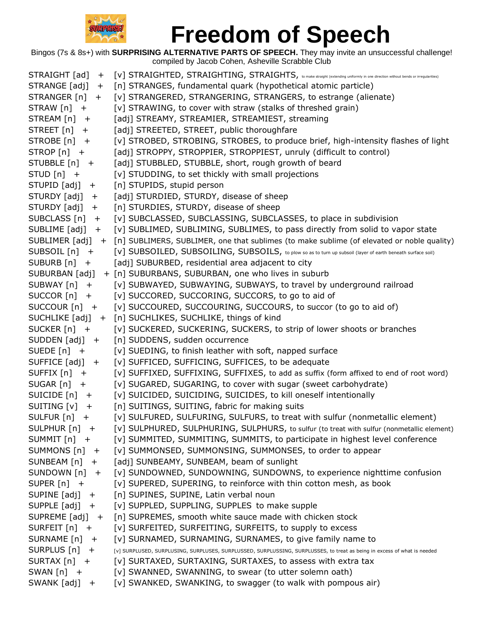

| STRAIGHT [ad]<br>$^{+}$             | [V] STRAIGHTED, STRAIGHTING, STRAIGHTS, to make straight (extending uniformly in one direction without bends or irregularities)             |
|-------------------------------------|---------------------------------------------------------------------------------------------------------------------------------------------|
| STRANGE [adj]<br>$+$                | [n] STRANGES, fundamental quark (hypothetical atomic particle)                                                                              |
| STRANGER $[n]$ +                    | [v] STRANGERED, STRANGERING, STRANGERS, to estrange (alienate)                                                                              |
| $STRAW[n] +$                        | [v] STRAWING, to cover with straw (stalks of threshed grain)                                                                                |
| $STREAM[n] +$                       | [adj] STREAMY, STREAMIER, STREAMIEST, streaming                                                                                             |
| STREET $[n]$ +                      | [adj] STREETED, STREET, public thoroughfare                                                                                                 |
| STROBE [n] +                        | [v] STROBED, STROBING, STROBES, to produce brief, high-intensity flashes of light                                                           |
| $STROP[n] +$                        | [adj] STROPPY, STROPPIER, STROPPIEST, unruly (difficult to control)                                                                         |
| STUBBLE [n] +                       | [adj] STUBBLED, STUBBLE, short, rough growth of beard                                                                                       |
| STUD $[n]$ +                        | [v] STUDDING, to set thickly with small projections                                                                                         |
| STUPID [adj]<br>$+$                 | [n] STUPIDS, stupid person                                                                                                                  |
| STURDY [adj]<br>$+$                 | [adj] STURDIED, STURDY, disease of sheep                                                                                                    |
| STURDY [adj] +                      | [n] STURDIES, STURDY, disease of sheep                                                                                                      |
| SUBCLASS $[n]$ +                    | [v] SUBCLASSED, SUBCLASSING, SUBCLASSES, to place in subdivision                                                                            |
| SUBLIME $[adj] +$                   | [v] SUBLIMED, SUBLIMING, SUBLIMES, to pass directly from solid to vapor state                                                               |
|                                     | SUBLIMER [adj] + [n] SUBLIMERS, SUBLIMER, one that sublimes (to make sublime (of elevated or noble quality)                                 |
| SUBSOIL [n] +                       | [V] SUBSOILED, SUBSOILING, SUBSOILS, to plow so as to turn up subsoil (layer of earth beneath surface soil)                                 |
| $SUBURB[n] +$                       | [adj] SUBURBED, residential area adjacent to city                                                                                           |
| SUBURBAN [adj]                      | + [n] SUBURBANS, SUBURBAN, one who lives in suburb                                                                                          |
| SUBWAY $[n]$ +                      | [v] SUBWAYED, SUBWAYING, SUBWAYS, to travel by underground railroad                                                                         |
| $SUCCOR[n]$ +                       | [v] SUCCORED, SUCCORING, SUCCORS, to go to aid of                                                                                           |
| SUCCOUR $[n]$ +                     | [v] SUCCOURED, SUCCOURING, SUCCOURS, to succor (to go to aid of)                                                                            |
|                                     | SUCHLIKE [adj] + [n] SUCHLIKES, SUCHLIKE, things of kind                                                                                    |
| SUCKER $[n]$ +                      | [v] SUCKERED, SUCKERING, SUCKERS, to strip of lower shoots or branches                                                                      |
| SUDDEN $[adj]$ +                    | [n] SUDDENS, sudden occurrence                                                                                                              |
| SUEDE $[n]$ +                       | [v] SUEDING, to finish leather with soft, napped surface                                                                                    |
| SUFFICE $[adj] +$<br>SUFFIX $[n]$ + | [v] SUFFICED, SUFFICING, SUFFICES, to be adequate<br>[v] SUFFIXED, SUFFIXING, SUFFIXES, to add as suffix (form affixed to end of root word) |
| SUGAR $[n]$ +                       | [v] SUGARED, SUGARING, to cover with sugar (sweet carbohydrate)                                                                             |
| SUICIDE $[n]$ +                     | [v] SUICIDED, SUICIDING, SUICIDES, to kill oneself intentionally                                                                            |
| SUITING $[v]$ +                     | [n] SUITINGS, SUITING, fabric for making suits                                                                                              |
| SULFUR $[n]$ +                      | [v] SULFURED, SULFURING, SULFURS, to treat with sulfur (nonmetallic element)                                                                |
| SULPHUR [n]<br>$\mathbf +$          | [v] SULPHURED, SULPHURING, SULPHURS, to sulfur (to treat with sulfur (nonmetallic element)                                                  |
| SUMMIT [n] +                        | [v] SUMMITED, SUMMITING, SUMMITS, to participate in highest level conference                                                                |
| SUMMONS $[n]$ +                     | [v] SUMMONSED, SUMMONSING, SUMMONSES, to order to appear                                                                                    |
| SUNBEAM $[n]$ +                     | [adj] SUNBEAMY, SUNBEAM, beam of sunlight                                                                                                   |
| SUNDOWN $[n]$ +                     | [v] SUNDOWNED, SUNDOWNING, SUNDOWNS, to experience nighttime confusion                                                                      |
| SUPER $[n]$ +                       | [v] SUPERED, SUPERING, to reinforce with thin cotton mesh, as book                                                                          |
| SUPINE $[adj] +$                    | [n] SUPINES, SUPINE, Latin verbal noun                                                                                                      |
| SUPPLE $[adj] +$                    | [v] SUPPLED, SUPPLING, SUPPLES to make supple                                                                                               |
| SUPREME $[adj] +$                   | [n] SUPREMES, smooth white sauce made with chicken stock                                                                                    |
| SURFEIT $[n]$ +                     | [v] SURFEITED, SURFEITING, SURFEITS, to supply to excess                                                                                    |
| SURNAME [n]<br>$+$                  | [v] SURNAMED, SURNAMING, SURNAMES, to give family name to                                                                                   |
| SURPLUS $[n]$ +                     | [v] SURPLUSED, SURPLUSING, SURPLUSES, SURPLUSSED, SURPLUSSING, SURPLUSSES, to treat as being in excess of what is needed                    |
| SURTAX $[n]$ +                      | [v] SURTAXED, SURTAXING, SURTAXES, to assess with extra tax                                                                                 |
| SWAN $[n]$ +                        | [v] SWANNED, SWANNING, to swear (to utter solemn oath)                                                                                      |
| SWANK $[adj] +$                     | [v] SWANKED, SWANKING, to swagger (to walk with pompous air)                                                                                |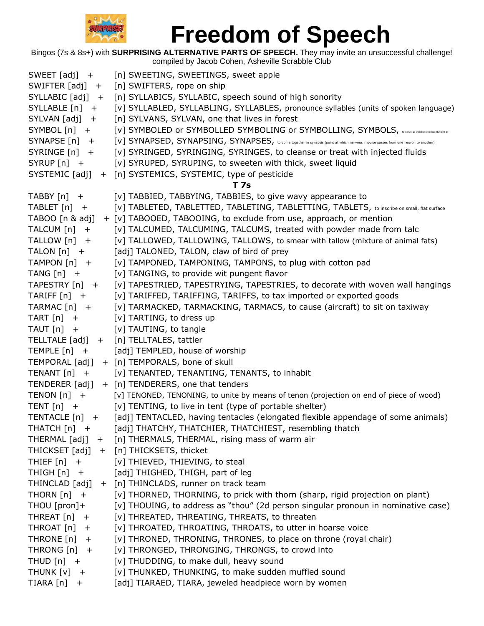

| SWEET $[adj] +$    | [n] SWEETING, SWEETINGS, sweet apple                                                                                                        |
|--------------------|---------------------------------------------------------------------------------------------------------------------------------------------|
| SWIFTER $[adj] +$  | [n] SWIFTERS, rope on ship                                                                                                                  |
| $SYLLABLE [adj] +$ | [n] SYLLABICS, SYLLABIC, speech sound of high sonority                                                                                      |
| $SYLLABLE[n] +$    | [v] SYLLABLED, SYLLABLING, SYLLABLES, pronounce syllables (units of spoken language)                                                        |
| $SYLVAN [adj] +$   | [n] SYLVANS, SYLVAN, one that lives in forest                                                                                               |
| $SYMBOL[n] +$      | [v] SYMBOLED or SYMBOLLED SYMBOLING or SYMBOLLING, SYMBOLS, werve as symbol (representation) of                                             |
| $SYNAPSE[n]$ +     | [V] SYNAPSED, SYNAPSING, SYNAPSES, to come together in synapsis (point at which nervous impulse passes from one neuron to another)          |
| $SYRINGE[n] +$     | [v] SYRINGED, SYRINGING, SYRINGES, to cleanse or treat with injected fluids                                                                 |
| $SYRUP[n]$ +       | [v] SYRUPED, SYRUPING, to sweeten with thick, sweet liquid                                                                                  |
| SYSTEMIC [adj]     | + [n] SYSTEMICS, SYSTEMIC, type of pesticide                                                                                                |
|                    | T 7s                                                                                                                                        |
| TABBY $[n]$ +      | [v] TABBIED, TABBYING, TABBIES, to give wavy appearance to                                                                                  |
| TABLET $[n]$ +     | [V] TABLETED, TABLETTED, TABLETING, TABLETTING, TABLETS, to inscribe on small, flat surface                                                 |
| TABOO [n & adj]    | + [v] TABOOED, TABOOING, to exclude from use, approach, or mention                                                                          |
| TALCUM [n] +       | [v] TALCUMED, TALCUMING, TALCUMS, treated with powder made from talc                                                                        |
| TALLOW [n] +       | [v] TALLOWED, TALLOWING, TALLOWS, to smear with tallow (mixture of animal fats)                                                             |
| TALON $[n]$ +      | [adj] TALONED, TALON, claw of bird of prey                                                                                                  |
| TAMPON $[n]$ +     | [v] TAMPONED, TAMPONING, TAMPONS, to plug with cotton pad                                                                                   |
| TANG $[n]$ +       | [v] TANGING, to provide wit pungent flavor                                                                                                  |
| TAPESTRY $[n]$ +   | [v] TAPESTRIED, TAPESTRYING, TAPESTRIES, to decorate with woven wall hangings                                                               |
| TARIFF $[n]$ +     | [v] TARIFFED, TARIFFING, TARIFFS, to tax imported or exported goods                                                                         |
| $TARMAC[n]$ +      | [v] TARMACKED, TARMACKING, TARMACS, to cause (aircraft) to sit on taxiway                                                                   |
| TART $[n]$ +       | [v] TARTING, to dress up                                                                                                                    |
| TAUT $[n]$ +       | [v] TAUTING, to tangle                                                                                                                      |
|                    | TELLTALE [adj] + [n] TELLTALES, tattler                                                                                                     |
| TEMPLE $[n]$ +     | [adj] TEMPLED, house of worship                                                                                                             |
| TEMPORAL [adj]     | + [n] TEMPORALS, bone of skull                                                                                                              |
| TENANT $[n]$ +     | [v] TENANTED, TENANTING, TENANTS, to inhabit                                                                                                |
| TENDERER [adj]     | + [n] TENDERERS, one that tenders                                                                                                           |
| TENON $[n]$ +      | [v] TENONED, TENONING, to unite by means of tenon (projection on end of piece of wood)                                                      |
| TENT $[n]$ +       | [v] TENTING, to live in tent (type of portable shelter)                                                                                     |
| TENTACLE [n] +     | [adj] TENTACLED, having tentacles (elongated flexible appendage of some animals)<br>[adj] THATCHY, THATCHIER, THATCHIEST, resembling thatch |
| THATCH [n] +       | THERMAL [adj] + [n] THERMALS, THERMAL, rising mass of warm air                                                                              |
|                    | THICKSET [adj] + [n] THICKSETS, thicket                                                                                                     |
| THIEF $[n]$ +      | [v] THIEVED, THIEVING, to steal                                                                                                             |
| THIGH $[n]$ +      | [adj] THIGHED, THIGH, part of leg                                                                                                           |
| THINCLAD [adj]     | + [n] THINCLADS, runner on track team                                                                                                       |
| THORN $[n]$ +      | [v] THORNED, THORNING, to prick with thorn (sharp, rigid projection on plant)                                                               |
| THOU [pron]+       | [v] THOUING, to address as "thou" (2d person singular pronoun in nominative case)                                                           |
| THREAT $[n]$ +     | [v] THREATED, THREATING, THREATS, to threaten                                                                                               |
| THROAT [n]<br>$+$  | [v] THROATED, THROATING, THROATS, to utter in hoarse voice                                                                                  |
| THRONE $[n]$ +     | [v] THRONED, THRONING, THRONES, to place on throne (royal chair)                                                                            |
| THRONG $[n]$ +     | [v] THRONGED, THRONGING, THRONGS, to crowd into                                                                                             |
| THUD $[n]$ +       | [v] THUDDING, to make dull, heavy sound                                                                                                     |
| THUNK $[v]$ +      | [v] THUNKED, THUNKING, to make sudden muffled sound                                                                                         |
| TIARA [n]<br>$+$   | [adj] TIARAED, TIARA, jeweled headpiece worn by women                                                                                       |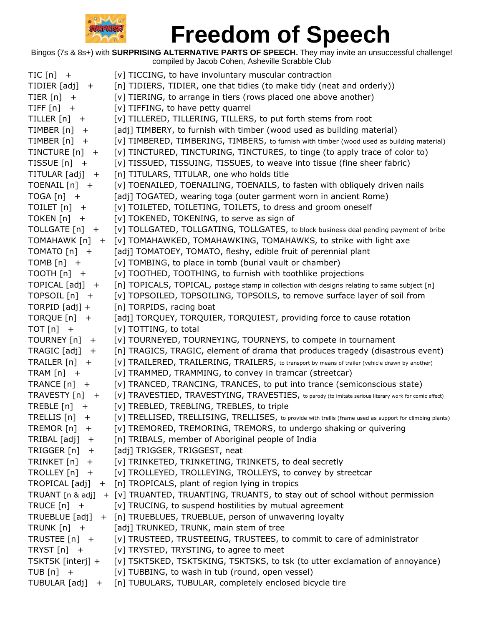

| $TIC[n]$ +                       | [v] TICCING, to have involuntary muscular contraction                                                       |
|----------------------------------|-------------------------------------------------------------------------------------------------------------|
| TIDIER $[adj] +$                 | [n] TIDIERS, TIDIER, one that tidies (to make tidy (neat and orderly))                                      |
| TIER $[n]$ +                     | [v] TIERING, to arrange in tiers (rows placed one above another)                                            |
| TIFF $[n]$ +                     | [v] TIFFING, to have petty quarrel                                                                          |
| TILLER $[n]$ +                   | [v] TILLERED, TILLERING, TILLERS, to put forth stems from root                                              |
| TIMBER $[n]$ +                   | [adj] TIMBERY, to furnish with timber (wood used as building material)                                      |
| TIMBER $[n]$ +                   | [V] TIMBERED, TIMBERING, TIMBERS, to furnish with timber (wood used as building material)                   |
| TINCTURE $[n]$ +                 | [v] TINCTURED, TINCTURING, TINCTURES, to tinge (to apply trace of color to)                                 |
| TISSUE $[n]$ +                   | [v] TISSUED, TISSUING, TISSUES, to weave into tissue (fine sheer fabric)                                    |
| TITULAR $[adj] +$                | [n] TITULARS, TITULAR, one who holds title                                                                  |
| TOENAIL $[n]$ +                  | [v] TOENAILED, TOENAILING, TOENAILS, to fasten with obliquely driven nails                                  |
| $TOGA[n]$ +                      | [adj] TOGATED, wearing toga (outer garment worn in ancient Rome)                                            |
| TOILET [n] +                     | [v] TOILETED, TOILETING, TOILETS, to dress and groom oneself                                                |
| TOKEN $[n]$ +                    | [v] TOKENED, TOKENING, to serve as sign of                                                                  |
| TOLLGATE [n] +                   | [v] TOLLGATED, TOLLGATING, TOLLGATES, to block business deal pending payment of bribe                       |
| TOMAHAWK [n] +                   | [v] TOMAHAWKED, TOMAHAWKING, TOMAHAWKS, to strike with light axe                                            |
| TOMATO [n] +                     | [adj] TOMATOEY, TOMATO, fleshy, edible fruit of perennial plant                                             |
| TOMB $[n]$ +                     | [v] TOMBING, to place in tomb (burial vault or chamber)                                                     |
| TOOTH $[n]$ +                    | [v] TOOTHED, TOOTHING, to furnish with toothlike projections                                                |
| $\overline{LOPICAL}$ [adj] +     | [n] TOPICALS, TOPICAL, postage stamp in collection with designs relating to same subject [n]                |
| TOPSOIL $[n]$ +                  | [v] TOPSOILED, TOPSOILING, TOPSOILS, to remove surface layer of soil from                                   |
| TORPID $[adj] +$                 | [n] TORPIDS, racing boat                                                                                    |
| TORQUE $[n]$ +                   | [adj] TORQUEY, TORQUIER, TORQUIEST, providing force to cause rotation                                       |
|                                  |                                                                                                             |
| $TOT[n]$ +                       | [v] TOTTING, to total                                                                                       |
| TOURNEY [n] +                    | [v] TOURNEYED, TOURNEYING, TOURNEYS, to compete in tournament                                               |
| $TRAGIC [adj] +$                 | [n] TRAGICS, TRAGIC, element of drama that produces tragedy (disastrous event)                              |
| TRAILER $[n]$ +                  | [V] TRAILERED, TRAILERING, TRAILERS, to transport by means of trailer (vehicle drawn by another)            |
| TRAM $[n]$ +                     | [v] TRAMMED, TRAMMING, to convey in tramcar (streetcar)                                                     |
| TRANCE $[n]$ +                   | [v] TRANCED, TRANCING, TRANCES, to put into trance (semiconscious state)                                    |
| TRAVESTY [n] +                   | [V] TRAVESTIED, TRAVESTYING, TRAVESTIES, to parody (to imitate serious literary work for comic effect)      |
| TREBLE $[n]$ +                   | [v] TREBLED, TREBLING, TREBLES, to triple                                                                   |
| TRELLIS $[n]$ +                  | [v] TRELLISED, TRELLISING, TRELLISES, to provide with trellis (frame used as support for climbing plants)   |
| TREMOR [n]<br>$+$                | [v] TREMORED, TREMORING, TREMORS, to undergo shaking or quivering                                           |
| $TRIBAL [adj] +$                 | [n] TRIBALS, member of Aboriginal people of India                                                           |
| TRIGGER $[n]$ +                  | [adj] TRIGGER, TRIGGEST, neat                                                                               |
| TRINKET [n]<br>$+$               | [v] TRINKETED, TRINKETING, TRINKETS, to deal secretly                                                       |
| TROLLEY $[n]$ +                  | [v] TROLLEYED, TROLLEYING, TROLLEYS, to convey by streetcar                                                 |
|                                  | TROPICAL [adj] + [n] TROPICALS, plant of region lying in tropics                                            |
|                                  | TRUANT [n & adj] + [v] TRUANTED, TRUANTING, TRUANTS, to stay out of school without permission               |
| TRUCE $[n]$ +                    | [v] TRUCING, to suspend hostilities by mutual agreement                                                     |
| TRUEBLUE [adj]                   | + [n] TRUEBLUES, TRUEBLUE, person of unwavering loyalty                                                     |
| TRUNK $[n]$ +                    | [adj] TRUNKED, TRUNK, main stem of tree                                                                     |
| TRUSTEE [n] +                    | [v] TRUSTEED, TRUSTEEING, TRUSTEES, to commit to care of administrator                                      |
| TRYST $[n]$ +                    | [v] TRYSTED, TRYSTING, to agree to meet                                                                     |
| TSKTSK [interj] +                | [v] TSKTSKED, TSKTSKING, TSKTSKS, to tsk (to utter exclamation of annoyance)                                |
| TUB $[n]$ +<br>TUBULAR $[adj] +$ | [v] TUBBING, to wash in tub (round, open vessel)<br>[n] TUBULARS, TUBULAR, completely enclosed bicycle tire |